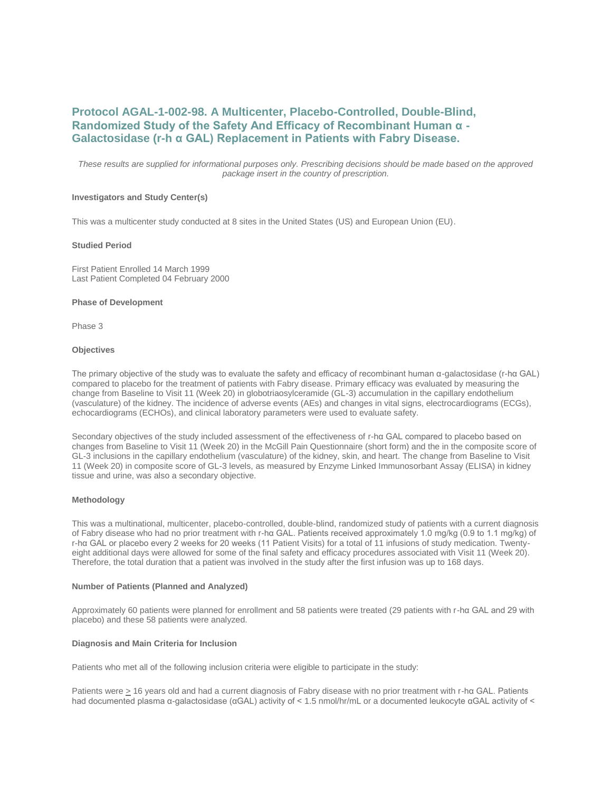# **Protocol AGAL-1-002-98. A Multicenter, Placebo-Controlled, Double-Blind, Randomized Study of the Safety And Efficacy of Recombinant Human α - Galactosidase (r-h α GAL) Replacement in Patients with Fabry Disease.**

*These results are supplied for informational purposes only. Prescribing decisions should be made based on the approved package insert in the country of prescription.*

# **Investigators and Study Center(s)**

This was a multicenter study conducted at 8 sites in the United States (US) and European Union (EU).

#### **Studied Period**

First Patient Enrolled 14 March 1999 Last Patient Completed 04 February 2000

#### **Phase of Development**

Phase 3

#### **Objectives**

The primary objective of the study was to evaluate the safety and efficacy of recombinant human α-galactosidase (r-hα GAL) compared to placebo for the treatment of patients with Fabry disease. Primary efficacy was evaluated by measuring the change from Baseline to Visit 11 (Week 20) in globotriaosylceramide (GL-3) accumulation in the capillary endothelium (vasculature) of the kidney. The incidence of adverse events (AEs) and changes in vital signs, electrocardiograms (ECGs), echocardiograms (ECHOs), and clinical laboratory parameters were used to evaluate safety.

Secondary objectives of the study included assessment of the effectiveness of r-hα GAL compared to placebo based on changes from Baseline to Visit 11 (Week 20) in the McGill Pain Questionnaire (short form) and the in the composite score of GL-3 inclusions in the capillary endothelium (vasculature) of the kidney, skin, and heart. The change from Baseline to Visit 11 (Week 20) in composite score of GL-3 levels, as measured by Enzyme Linked Immunosorbant Assay (ELISA) in kidney tissue and urine, was also a secondary objective.

# **Methodology**

This was a multinational, multicenter, placebo-controlled, double-blind, randomized study of patients with a current diagnosis of Fabry disease who had no prior treatment with r-hα GAL. Patients received approximately 1.0 mg/kg (0.9 to 1.1 mg/kg) of r-hα GAL or placebo every 2 weeks for 20 weeks (11 Patient Visits) for a total of 11 infusions of study medication. Twentyeight additional days were allowed for some of the final safety and efficacy procedures associated with Visit 11 (Week 20). Therefore, the total duration that a patient was involved in the study after the first infusion was up to 168 days.

#### **Number of Patients (Planned and Analyzed)**

Approximately 60 patients were planned for enrollment and 58 patients were treated (29 patients with r-hα GAL and 29 with placebo) and these 58 patients were analyzed.

# **Diagnosis and Main Criteria for Inclusion**

Patients who met all of the following inclusion criteria were eligible to participate in the study:

Patients were > 16 years old and had a current diagnosis of Fabry disease with no prior treatment with r-hα GAL. Patients had documented plasma α-galactosidase (αGAL) activity of < 1.5 nmol/hr/mL or a documented leukocyte αGAL activity of <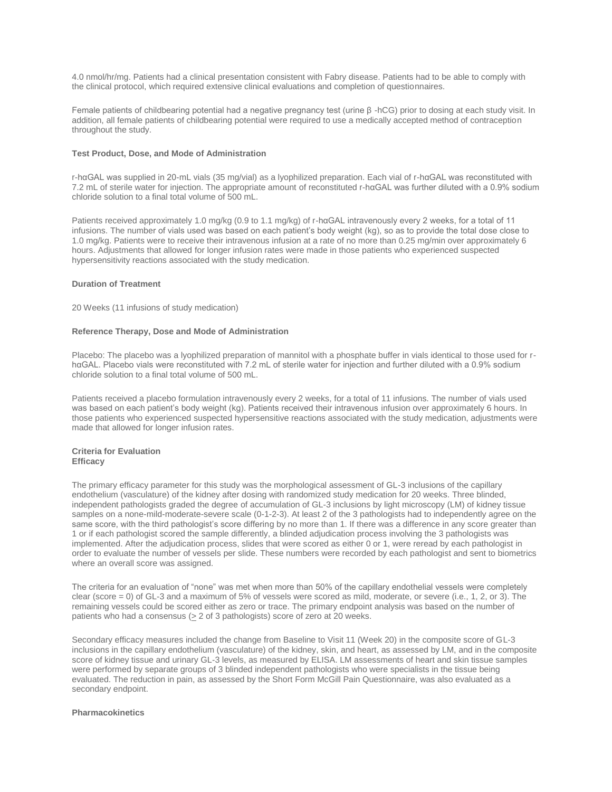4.0 nmol/hr/mg. Patients had a clinical presentation consistent with Fabry disease. Patients had to be able to comply with the clinical protocol, which required extensive clinical evaluations and completion of questionnaires.

Female patients of childbearing potential had a negative pregnancy test (urine β -hCG) prior to dosing at each study visit. In addition, all female patients of childbearing potential were required to use a medically accepted method of contraception throughout the study.

# **Test Product, Dose, and Mode of Administration**

r-hαGAL was supplied in 20-mL vials (35 mg/vial) as a lyophilized preparation. Each vial of r-hαGAL was reconstituted with 7.2 mL of sterile water for injection. The appropriate amount of reconstituted r-hαGAL was further diluted with a 0.9% sodium chloride solution to a final total volume of 500 mL.

Patients received approximately 1.0 mg/kg (0.9 to 1.1 mg/kg) of r-hαGAL intravenously every 2 weeks, for a total of 11 infusions. The number of vials used was based on each patient's body weight (kg), so as to provide the total dose close to 1.0 mg/kg. Patients were to receive their intravenous infusion at a rate of no more than 0.25 mg/min over approximately 6 hours. Adjustments that allowed for longer infusion rates were made in those patients who experienced suspected hypersensitivity reactions associated with the study medication.

# **Duration of Treatment**

20 Weeks (11 infusions of study medication)

# **Reference Therapy, Dose and Mode of Administration**

Placebo: The placebo was a lyophilized preparation of mannitol with a phosphate buffer in vials identical to those used for rhαGAL. Placebo vials were reconstituted with 7.2 mL of sterile water for injection and further diluted with a 0.9% sodium chloride solution to a final total volume of 500 mL.

Patients received a placebo formulation intravenously every 2 weeks, for a total of 11 infusions. The number of vials used was based on each patient's body weight (kg). Patients received their intravenous infusion over approximately 6 hours. In those patients who experienced suspected hypersensitive reactions associated with the study medication, adjustments were made that allowed for longer infusion rates.

# **Criteria for Evaluation Efficacy**

The primary efficacy parameter for this study was the morphological assessment of GL-3 inclusions of the capillary endothelium (vasculature) of the kidney after dosing with randomized study medication for 20 weeks. Three blinded, independent pathologists graded the degree of accumulation of GL-3 inclusions by light microscopy (LM) of kidney tissue samples on a none-mild-moderate-severe scale (0-1-2-3). At least 2 of the 3 pathologists had to independently agree on the same score, with the third pathologist's score differing by no more than 1. If there was a difference in any score greater than 1 or if each pathologist scored the sample differently, a blinded adjudication process involving the 3 pathologists was implemented. After the adjudication process, slides that were scored as either 0 or 1, were reread by each pathologist in order to evaluate the number of vessels per slide. These numbers were recorded by each pathologist and sent to biometrics where an overall score was assigned.

The criteria for an evaluation of "none" was met when more than 50% of the capillary endothelial vessels were completely clear (score = 0) of GL-3 and a maximum of 5% of vessels were scored as mild, moderate, or severe (i.e., 1, 2, or 3). The remaining vessels could be scored either as zero or trace. The primary endpoint analysis was based on the number of patients who had a consensus ( $\geq 2$  of 3 pathologists) score of zero at 20 weeks.

Secondary efficacy measures included the change from Baseline to Visit 11 (Week 20) in the composite score of GL-3 inclusions in the capillary endothelium (vasculature) of the kidney, skin, and heart, as assessed by LM, and in the composite score of kidney tissue and urinary GL-3 levels, as measured by ELISA. LM assessments of heart and skin tissue samples were performed by separate groups of 3 blinded independent pathologists who were specialists in the tissue being evaluated. The reduction in pain, as assessed by the Short Form McGill Pain Questionnaire, was also evaluated as a secondary endpoint.

# **Pharmacokinetics**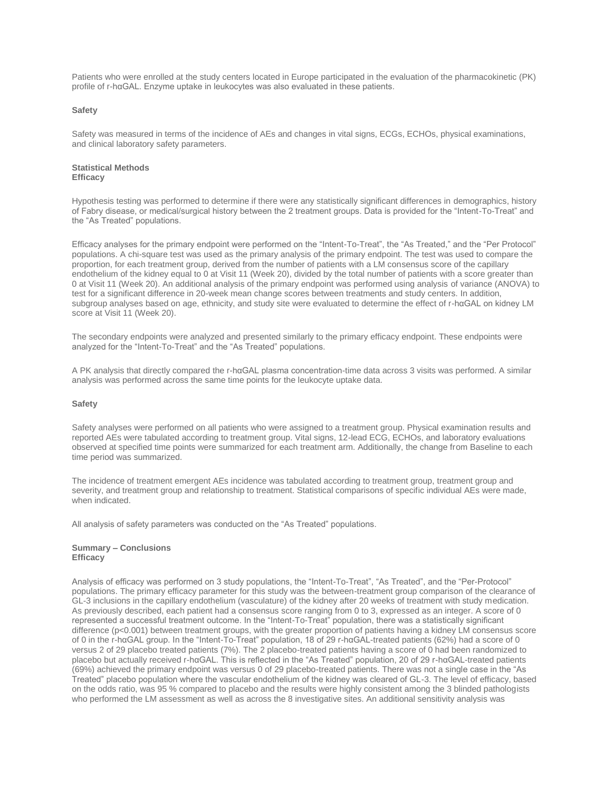Patients who were enrolled at the study centers located in Europe participated in the evaluation of the pharmacokinetic (PK) profile of r-hαGAL. Enzyme uptake in leukocytes was also evaluated in these patients.

#### **Safety**

Safety was measured in terms of the incidence of AEs and changes in vital signs, ECGs, ECHOs, physical examinations, and clinical laboratory safety parameters.

#### **Statistical Methods Efficacy**

Hypothesis testing was performed to determine if there were any statistically significant differences in demographics, history of Fabry disease, or medical/surgical history between the 2 treatment groups. Data is provided for the "Intent-To-Treat" and the "As Treated" populations.

Efficacy analyses for the primary endpoint were performed on the "Intent-To-Treat", the "As Treated," and the "Per Protocol" populations. A chi-square test was used as the primary analysis of the primary endpoint. The test was used to compare the proportion, for each treatment group, derived from the number of patients with a LM consensus score of the capillary endothelium of the kidney equal to 0 at Visit 11 (Week 20), divided by the total number of patients with a score greater than 0 at Visit 11 (Week 20). An additional analysis of the primary endpoint was performed using analysis of variance (ANOVA) to test for a significant difference in 20-week mean change scores between treatments and study centers. In addition, subgroup analyses based on age, ethnicity, and study site were evaluated to determine the effect of r-hαGAL on kidney LM score at Visit 11 (Week 20).

The secondary endpoints were analyzed and presented similarly to the primary efficacy endpoint. These endpoints were analyzed for the "Intent-To-Treat" and the "As Treated" populations.

A PK analysis that directly compared the r-hαGAL plasma concentration-time data across 3 visits was performed. A similar analysis was performed across the same time points for the leukocyte uptake data.

# **Safety**

Safety analyses were performed on all patients who were assigned to a treatment group. Physical examination results and reported AEs were tabulated according to treatment group. Vital signs, 12-lead ECG, ECHOs, and laboratory evaluations observed at specified time points were summarized for each treatment arm. Additionally, the change from Baseline to each time period was summarized.

The incidence of treatment emergent AEs incidence was tabulated according to treatment group, treatment group and severity, and treatment group and relationship to treatment. Statistical comparisons of specific individual AEs were made, when indicated.

All analysis of safety parameters was conducted on the "As Treated" populations.

#### **Summary – Conclusions Efficacy**

Analysis of efficacy was performed on 3 study populations, the "Intent-To-Treat", "As Treated", and the "Per-Protocol" populations. The primary efficacy parameter for this study was the between-treatment group comparison of the clearance of GL-3 inclusions in the capillary endothelium (vasculature) of the kidney after 20 weeks of treatment with study medication. As previously described, each patient had a consensus score ranging from 0 to 3, expressed as an integer. A score of 0 represented a successful treatment outcome. In the "Intent-To-Treat" population, there was a statistically significant difference (p<0.001) between treatment groups, with the greater proportion of patients having a kidney LM consensus score of 0 in the r-hαGAL group. In the "Intent-To-Treat" population, 18 of 29 r-hαGAL-treated patients (62%) had a score of 0 versus 2 of 29 placebo treated patients (7%). The 2 placebo-treated patients having a score of 0 had been randomized to placebo but actually received r-hαGAL. This is reflected in the "As Treated" population, 20 of 29 r-hαGAL-treated patients (69%) achieved the primary endpoint was versus 0 of 29 placebo-treated patients. There was not a single case in the "As Treated" placebo population where the vascular endothelium of the kidney was cleared of GL-3. The level of efficacy, based on the odds ratio, was 95 % compared to placebo and the results were highly consistent among the 3 blinded pathologists who performed the LM assessment as well as across the 8 investigative sites. An additional sensitivity analysis was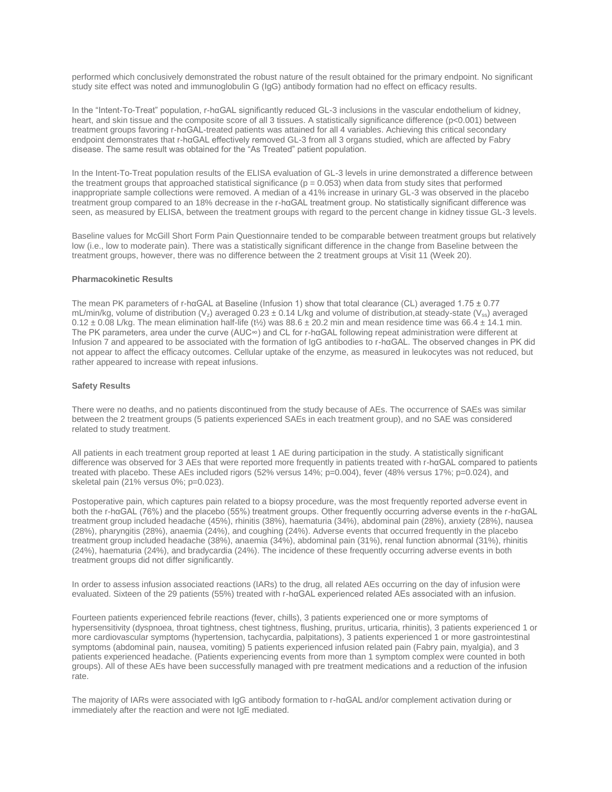performed which conclusively demonstrated the robust nature of the result obtained for the primary endpoint. No significant study site effect was noted and immunoglobulin G (IgG) antibody formation had no effect on efficacy results.

In the "Intent-To-Treat" population, r-hαGAL significantly reduced GL-3 inclusions in the vascular endothelium of kidney, heart, and skin tissue and the composite score of all 3 tissues. A statistically significance difference (p<0.001) between treatment groups favoring r-hαGAL-treated patients was attained for all 4 variables. Achieving this critical secondary endpoint demonstrates that r-hαGAL effectively removed GL-3 from all 3 organs studied, which are affected by Fabry disease. The same result was obtained for the "As Treated" patient population.

In the Intent-To-Treat population results of the ELISA evaluation of GL-3 levels in urine demonstrated a difference between the treatment groups that approached statistical significance ( $p = 0.053$ ) when data from study sites that performed inappropriate sample collections were removed. A median of a 41% increase in urinary GL-3 was observed in the placebo treatment group compared to an 18% decrease in the r-hαGAL treatment group. No statistically significant difference was seen, as measured by ELISA, between the treatment groups with regard to the percent change in kidney tissue GL-3 levels.

Baseline values for McGill Short Form Pain Questionnaire tended to be comparable between treatment groups but relatively low (i.e., low to moderate pain). There was a statistically significant difference in the change from Baseline between the treatment groups, however, there was no difference between the 2 treatment groups at Visit 11 (Week 20).

#### **Pharmacokinetic Results**

The mean PK parameters of r-hαGAL at Baseline (Infusion 1) show that total clearance (CL) averaged 1.75 ± 0.77 mL/min/kg, volume of distribution (V<sub>z</sub>) averaged 0.23 ± 0.14 L/kg and volume of distribution, at steady-state (V<sub>ss</sub>) averaged  $0.12 \pm 0.08$  L/kg. The mean elimination half-life (t<sup>1</sup>/<sub>2</sub>) was  $88.6 \pm 20.2$  min and mean residence time was 66.4  $\pm$  14.1 min. The PK parameters, area under the curve (AUC∞) and CL for r-hαGAL following repeat administration were different at Infusion 7 and appeared to be associated with the formation of IgG antibodies to r-hαGAL. The observed changes in PK did not appear to affect the efficacy outcomes. Cellular uptake of the enzyme, as measured in leukocytes was not reduced, but rather appeared to increase with repeat infusions.

#### **Safety Results**

There were no deaths, and no patients discontinued from the study because of AEs. The occurrence of SAEs was similar between the 2 treatment groups (5 patients experienced SAEs in each treatment group), and no SAE was considered related to study treatment.

All patients in each treatment group reported at least 1 AE during participation in the study. A statistically significant difference was observed for 3 AEs that were reported more frequently in patients treated with r-hαGAL compared to patients treated with placebo. These AEs included rigors (52% versus 14%; p=0.004), fever (48% versus 17%; p=0.024), and skeletal pain (21% versus 0%; p=0.023).

Postoperative pain, which captures pain related to a biopsy procedure, was the most frequently reported adverse event in both the r-hαGAL (76%) and the placebo (55%) treatment groups. Other frequently occurring adverse events in the r-hαGAL treatment group included headache (45%), rhinitis (38%), haematuria (34%), abdominal pain (28%), anxiety (28%), nausea (28%), pharyngitis (28%), anaemia (24%), and coughing (24%). Adverse events that occurred frequently in the placebo treatment group included headache (38%), anaemia (34%), abdominal pain (31%), renal function abnormal (31%), rhinitis (24%), haematuria (24%), and bradycardia (24%). The incidence of these frequently occurring adverse events in both treatment groups did not differ significantly.

In order to assess infusion associated reactions (IARs) to the drug, all related AEs occurring on the day of infusion were evaluated. Sixteen of the 29 patients (55%) treated with r-hαGAL experienced related AEs associated with an infusion.

Fourteen patients experienced febrile reactions (fever, chills), 3 patients experienced one or more symptoms of hypersensitivity (dyspnoea, throat tightness, chest tightness, flushing, pruritus, urticaria, rhinitis), 3 patients experienced 1 or more cardiovascular symptoms (hypertension, tachycardia, palpitations), 3 patients experienced 1 or more gastrointestinal symptoms (abdominal pain, nausea, vomiting) 5 patients experienced infusion related pain (Fabry pain, myalgia), and 3 patients experienced headache. (Patients experiencing events from more than 1 symptom complex were counted in both groups). All of these AEs have been successfully managed with pre treatment medications and a reduction of the infusion rate.

The majority of IARs were associated with IgG antibody formation to r-hαGAL and/or complement activation during or immediately after the reaction and were not IgE mediated.